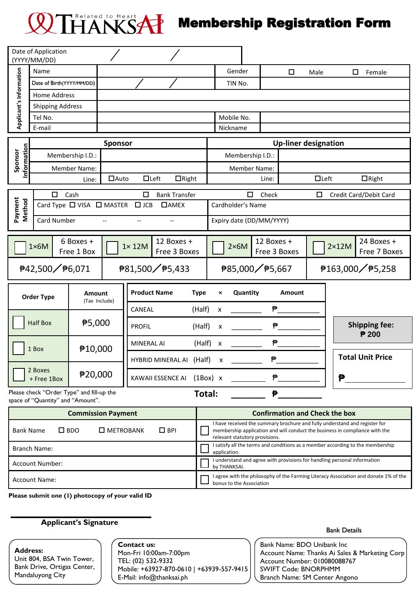## THANKSAP Membership Registration Form

|                                                                       | Date of Application<br>(YYYY/MM/DD) |                    |                                                                                |                   |                                              |                                                                                                                                                                                             |                                                                                                                  |                             |                                            |  |       |                                            |                             |                                           |                         |                      |
|-----------------------------------------------------------------------|-------------------------------------|--------------------|--------------------------------------------------------------------------------|-------------------|----------------------------------------------|---------------------------------------------------------------------------------------------------------------------------------------------------------------------------------------------|------------------------------------------------------------------------------------------------------------------|-----------------------------|--------------------------------------------|--|-------|--------------------------------------------|-----------------------------|-------------------------------------------|-------------------------|----------------------|
|                                                                       | Name                                |                    |                                                                                |                   |                                              |                                                                                                                                                                                             |                                                                                                                  |                             | Gender                                     |  |       | $\Box$                                     | Male                        |                                           | $\Box$                  | Female               |
| Applicant's Information                                               | Date of Birth(YYYY/MM/DD)           |                    |                                                                                |                   |                                              |                                                                                                                                                                                             |                                                                                                                  |                             | TIN No.                                    |  |       |                                            |                             |                                           |                         |                      |
|                                                                       | Home Address                        |                    |                                                                                |                   |                                              |                                                                                                                                                                                             |                                                                                                                  |                             |                                            |  |       |                                            |                             |                                           |                         |                      |
|                                                                       | <b>Shipping Address</b>             |                    |                                                                                |                   |                                              |                                                                                                                                                                                             |                                                                                                                  |                             |                                            |  |       |                                            |                             |                                           |                         |                      |
|                                                                       | Tel No.                             |                    |                                                                                |                   |                                              |                                                                                                                                                                                             |                                                                                                                  |                             | Mobile No.                                 |  |       |                                            |                             |                                           |                         |                      |
|                                                                       | E-mail                              |                    |                                                                                |                   |                                              |                                                                                                                                                                                             |                                                                                                                  |                             | Nickname                                   |  |       |                                            |                             |                                           |                         |                      |
| Information                                                           |                                     |                    |                                                                                | <b>Sponsor</b>    |                                              |                                                                                                                                                                                             |                                                                                                                  | <b>Up-liner designation</b> |                                            |  |       |                                            |                             |                                           |                         |                      |
|                                                                       | Membership I.D.:                    |                    |                                                                                |                   |                                              |                                                                                                                                                                                             |                                                                                                                  | Membership I.D.:            |                                            |  |       |                                            |                             |                                           |                         |                      |
| Sponsor                                                               |                                     |                    | <b>Member Name:</b>                                                            |                   |                                              |                                                                                                                                                                                             |                                                                                                                  |                             | <b>Member Name:</b>                        |  |       |                                            |                             |                                           |                         |                      |
|                                                                       |                                     |                    | Line:                                                                          | $\Box$ Auto       | $\Box$ Left                                  | $\Box$ Right                                                                                                                                                                                |                                                                                                                  |                             |                                            |  | Line: |                                            | $\Box$ Left                 |                                           | $\Box$ Right            |                      |
| Payment<br>Method                                                     |                                     | $\Box$             | Cash                                                                           |                   | $\Box$                                       | <b>Bank Transfer</b>                                                                                                                                                                        |                                                                                                                  |                             | $\Box$<br>Check                            |  |       |                                            | □<br>Credit Card/Debit Card |                                           |                         |                      |
|                                                                       |                                     |                    | Card Type □ VISA □ MASTER                                                      |                   | $\Box$ AMEX<br>$\Box$ JCB                    |                                                                                                                                                                                             |                                                                                                                  | Cardholder's Name           |                                            |  |       |                                            |                             |                                           |                         |                      |
|                                                                       |                                     | <b>Card Number</b> |                                                                                |                   | $-$                                          | $-$                                                                                                                                                                                         |                                                                                                                  |                             | Expiry date (DD/MM/YYYY)                   |  |       |                                            |                             |                                           |                         |                      |
|                                                                       |                                     |                    |                                                                                |                   |                                              |                                                                                                                                                                                             |                                                                                                                  |                             |                                            |  |       |                                            |                             |                                           |                         |                      |
|                                                                       | $1\times 6M$                        |                    | 6 Boxes +<br>Free 1 Box                                                        |                   | 12 Boxes +<br>$1 \times 12M$<br>Free 3 Boxes |                                                                                                                                                                                             |                                                                                                                  |                             | 12 Boxes +<br>$2\times 6M$<br>Free 3 Boxes |  |       | 24 Boxes +<br>$2\times12M$<br>Free 7 Boxes |                             |                                           |                         |                      |
|                                                                       | <sup>₹</sup> 42,500 / ₹6,071        |                    |                                                                                |                   |                                              | ₱81,500/₱5,433                                                                                                                                                                              |                                                                                                                  |                             | ₱85,000/₱5,667                             |  |       |                                            |                             | <sup>∌</sup> 163,000 / <sup>∌</sup> 5,258 |                         |                      |
|                                                                       | <b>Order Type</b>                   |                    | <b>Amount</b><br>(Tax Include)                                                 |                   | <b>Product Name</b>                          |                                                                                                                                                                                             | <b>Type</b>                                                                                                      | ×                           | Quantity                                   |  |       | <b>Amount</b>                              |                             |                                           |                         |                      |
|                                                                       |                                     |                    |                                                                                |                   | <b>CANEAL</b>                                |                                                                                                                                                                                             | (Half)                                                                                                           | X                           |                                            |  |       |                                            |                             |                                           |                         |                      |
|                                                                       | <b>Half Box</b>                     |                    | ₱5,000                                                                         |                   | <b>PROFIL</b>                                |                                                                                                                                                                                             | (Half)                                                                                                           | X                           |                                            |  |       |                                            |                             |                                           | ₱ 200                   | <b>Shipping fee:</b> |
|                                                                       | 1 Box                               |                    |                                                                                |                   | <b>MINERAL AI</b>                            |                                                                                                                                                                                             | (Half)                                                                                                           | $\boldsymbol{\mathsf{X}}$   |                                            |  | ₱     |                                            |                             |                                           |                         |                      |
|                                                                       |                                     |                    | ₱10,000                                                                        |                   |                                              | HYBRID MINERAL AI (Half)                                                                                                                                                                    |                                                                                                                  | х                           |                                            |  |       |                                            |                             |                                           | <b>Total Unit Price</b> |                      |
|                                                                       | 2 Boxes<br>₱20,000<br>+ Free 1Box   |                    |                                                                                | KAWAII ESSENCE AI |                                              |                                                                                                                                                                                             |                                                                                                                  | ₱<br>$(1Box)$ x             |                                            |  | ₱     |                                            |                             |                                           |                         |                      |
|                                                                       |                                     |                    | Please check "Order Type" and fill-up the<br>space of "Quantity" and "Amount". |                   |                                              |                                                                                                                                                                                             | Total:                                                                                                           |                             |                                            |  | ₱     |                                            |                             |                                           |                         |                      |
| <b>Commission Payment</b>                                             |                                     |                    |                                                                                |                   |                                              | <b>Confirmation and Check the box</b>                                                                                                                                                       |                                                                                                                  |                             |                                            |  |       |                                            |                             |                                           |                         |                      |
| $\square$ BDO<br><b>O</b> METROBANK<br>$\Box$ BPI<br><b>Bank Name</b> |                                     |                    |                                                                                |                   |                                              | I have received the summary brochure and fully understand and register for<br>membership application and will conduct the business in compliance with the<br>relevant statutory provisions. |                                                                                                                  |                             |                                            |  |       |                                            |                             |                                           |                         |                      |
| <b>Branch Name:</b>                                                   |                                     |                    |                                                                                |                   |                                              |                                                                                                                                                                                             | I satisfy all the terms and conditions as a member according to the membership<br>application.                   |                             |                                            |  |       |                                            |                             |                                           |                         |                      |
| Account Number:                                                       |                                     |                    |                                                                                |                   |                                              |                                                                                                                                                                                             | I understand and agree with provisions for handling personal information<br>by THANKSAI.                         |                             |                                            |  |       |                                            |                             |                                           |                         |                      |
| <b>Account Name:</b>                                                  |                                     |                    |                                                                                |                   |                                              |                                                                                                                                                                                             | I agree with the philosophy of the Farming Literacy Association and donate 1% of the<br>bonus to the Association |                             |                                            |  |       |                                            |                             |                                           |                         |                      |
|                                                                       |                                     |                    | Please submit one (1) photocopy of your valid ID                               |                   |                                              |                                                                                                                                                                                             |                                                                                                                  |                             |                                            |  |       |                                            |                             |                                           |                         |                      |

## **Applicant's Signature**

## **Address:**  Unit 804, BSA Twin Tower,

Bank Drive, Ortigas Center, Mandaluyong City

**Contact us:** Mon-Fri 10:00am-7:00pm TEL: (02) 532-9332 Mobile: +63927-870-0610 | +63939-557-9415 E-Mail: info@thanksai.ph

Bank Details

Bank Name: BDO Unibank Inc Account Name: Thanks Ai Sales & Marketing Corp Account Number: 010080088767 SWIFT Code: BNORPHMM Branch Name: SM Center Angono